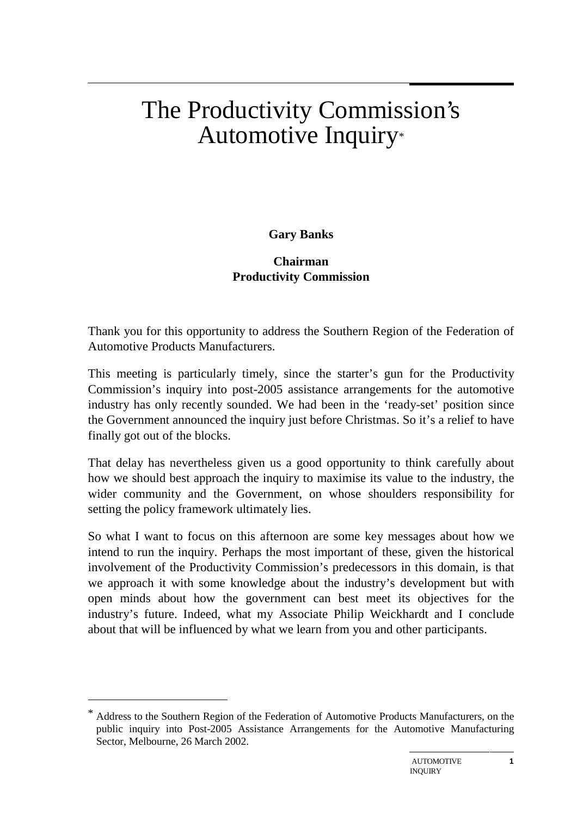# The Productivity Commission's Automotive Inquiry\*

#### **Gary Banks**

#### **Chairman Productivity Commission**

Thank you for this opportunity to address the Southern Region of the Federation of Automotive Products Manufacturers.

This meeting is particularly timely, since the starter's gun for the Productivity Commission's inquiry into post-2005 assistance arrangements for the automotive industry has only recently sounded. We had been in the 'ready-set' position since the Government announced the inquiry just before Christmas. So it's a relief to have finally got out of the blocks.

That delay has nevertheless given us a good opportunity to think carefully about how we should best approach the inquiry to maximise its value to the industry, the wider community and the Government, on whose shoulders responsibility for setting the policy framework ultimately lies.

So what I want to focus on this afternoon are some key messages about how we intend to run the inquiry. Perhaps the most important of these, given the historical involvement of the Productivity Commission's predecessors in this domain, is that we approach it with some knowledge about the industry's development but with open minds about how the government can best meet its objectives for the industry's future. Indeed, what my Associate Philip Weickhardt and I conclude about that will be influenced by what we learn from you and other participants.

 $\overline{a}$ 

Address to the Southern Region of the Federation of Automotive Products Manufacturers, on the public inquiry into Post-2005 Assistance Arrangements for the Automotive Manufacturing Sector, Melbourne, 26 March 2002.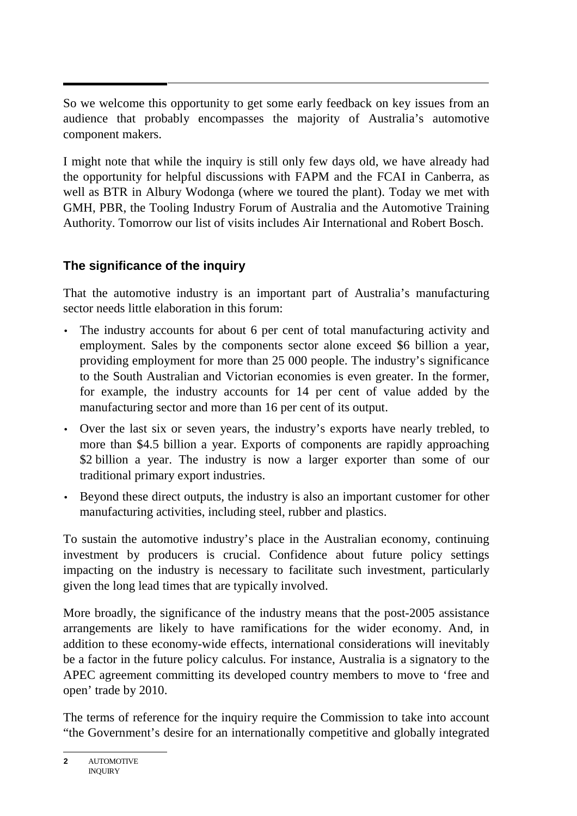So we welcome this opportunity to get some early feedback on key issues from an audience that probably encompasses the majority of Australia's automotive component makers.

I might note that while the inquiry is still only few days old, we have already had the opportunity for helpful discussions with FAPM and the FCAI in Canberra, as well as BTR in Albury Wodonga (where we toured the plant). Today we met with GMH, PBR, the Tooling Industry Forum of Australia and the Automotive Training Authority. Tomorrow our list of visits includes Air International and Robert Bosch.

# **The significance of the inquiry**

That the automotive industry is an important part of Australia's manufacturing sector needs little elaboration in this forum:

- The industry accounts for about 6 per cent of total manufacturing activity and employment. Sales by the components sector alone exceed \$6 billion a year, providing employment for more than 25 000 people. The industry's significance to the South Australian and Victorian economies is even greater. In the former, for example, the industry accounts for 14 per cent of value added by the manufacturing sector and more than 16 per cent of its output.
- Over the last six or seven years, the industry's exports have nearly trebled, to more than \$4.5 billion a year. Exports of components are rapidly approaching \$2 billion a year. The industry is now a larger exporter than some of our traditional primary export industries.
- Beyond these direct outputs, the industry is also an important customer for other manufacturing activities, including steel, rubber and plastics.

To sustain the automotive industry's place in the Australian economy, continuing investment by producers is crucial. Confidence about future policy settings impacting on the industry is necessary to facilitate such investment, particularly given the long lead times that are typically involved.

More broadly, the significance of the industry means that the post-2005 assistance arrangements are likely to have ramifications for the wider economy. And, in addition to these economy-wide effects, international considerations will inevitably be a factor in the future policy calculus. For instance, Australia is a signatory to the APEC agreement committing its developed country members to move to 'free and open' trade by 2010.

The terms of reference for the inquiry require the Commission to take into account "the Government's desire for an internationally competitive and globally integrated

**<sup>2</sup>** AUTOMOTIVE **INQUIRY**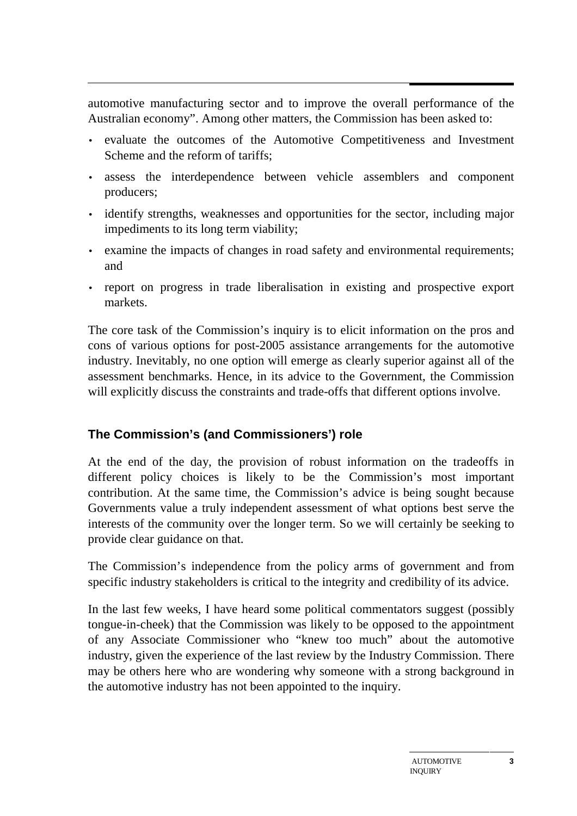automotive manufacturing sector and to improve the overall performance of the Australian economy". Among other matters, the Commission has been asked to:

- evaluate the outcomes of the Automotive Competitiveness and Investment Scheme and the reform of tariffs;
- assess the interdependence between vehicle assemblers and component producers;
- identify strengths, weaknesses and opportunities for the sector, including major impediments to its long term viability;
- examine the impacts of changes in road safety and environmental requirements; and
- report on progress in trade liberalisation in existing and prospective export markets.

The core task of the Commission's inquiry is to elicit information on the pros and cons of various options for post-2005 assistance arrangements for the automotive industry. Inevitably, no one option will emerge as clearly superior against all of the assessment benchmarks. Hence, in its advice to the Government, the Commission will explicitly discuss the constraints and trade-offs that different options involve.

## **The Commission's (and Commissioners') role**

At the end of the day, the provision of robust information on the tradeoffs in different policy choices is likely to be the Commission's most important contribution. At the same time, the Commission's advice is being sought because Governments value a truly independent assessment of what options best serve the interests of the community over the longer term. So we will certainly be seeking to provide clear guidance on that.

The Commission's independence from the policy arms of government and from specific industry stakeholders is critical to the integrity and credibility of its advice.

In the last few weeks, I have heard some political commentators suggest (possibly tongue-in-cheek) that the Commission was likely to be opposed to the appointment of any Associate Commissioner who "knew too much" about the automotive industry, given the experience of the last review by the Industry Commission. There may be others here who are wondering why someone with a strong background in the automotive industry has not been appointed to the inquiry.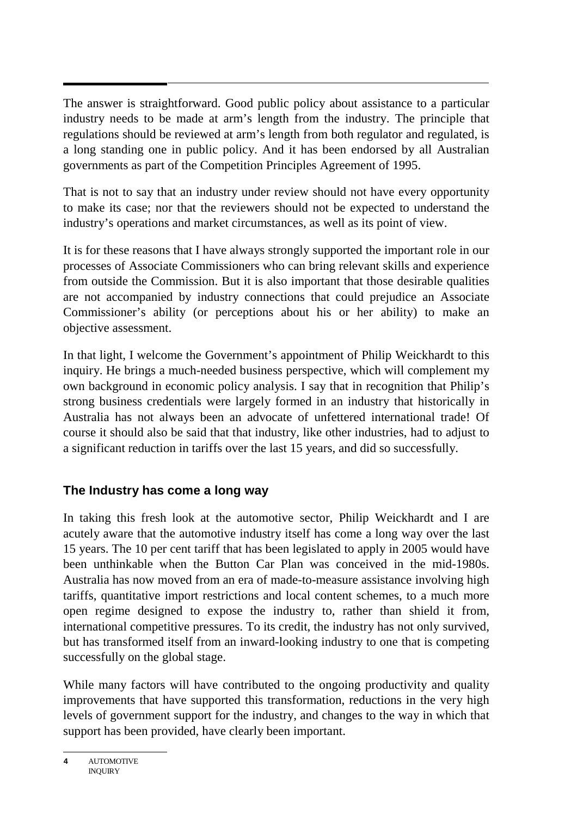The answer is straightforward. Good public policy about assistance to a particular industry needs to be made at arm's length from the industry. The principle that regulations should be reviewed at arm's length from both regulator and regulated, is a long standing one in public policy. And it has been endorsed by all Australian governments as part of the Competition Principles Agreement of 1995.

That is not to say that an industry under review should not have every opportunity to make its case; nor that the reviewers should not be expected to understand the industry's operations and market circumstances, as well as its point of view.

It is for these reasons that I have always strongly supported the important role in our processes of Associate Commissioners who can bring relevant skills and experience from outside the Commission. But it is also important that those desirable qualities are not accompanied by industry connections that could prejudice an Associate Commissioner's ability (or perceptions about his or her ability) to make an objective assessment.

In that light, I welcome the Government's appointment of Philip Weickhardt to this inquiry. He brings a much-needed business perspective, which will complement my own background in economic policy analysis. I say that in recognition that Philip's strong business credentials were largely formed in an industry that historically in Australia has not always been an advocate of unfettered international trade! Of course it should also be said that that industry, like other industries, had to adjust to a significant reduction in tariffs over the last 15 years, and did so successfully.

## **The Industry has come a long way**

In taking this fresh look at the automotive sector, Philip Weickhardt and I are acutely aware that the automotive industry itself has come a long way over the last 15 years. The 10 per cent tariff that has been legislated to apply in 2005 would have been unthinkable when the Button Car Plan was conceived in the mid-1980s. Australia has now moved from an era of made-to-measure assistance involving high tariffs, quantitative import restrictions and local content schemes, to a much more open regime designed to expose the industry to, rather than shield it from, international competitive pressures. To its credit, the industry has not only survived, but has transformed itself from an inward-looking industry to one that is competing successfully on the global stage.

While many factors will have contributed to the ongoing productivity and quality improvements that have supported this transformation, reductions in the very high levels of government support for the industry, and changes to the way in which that support has been provided, have clearly been important.

**<sup>4</sup>** AUTOMOTIVE INQUIRY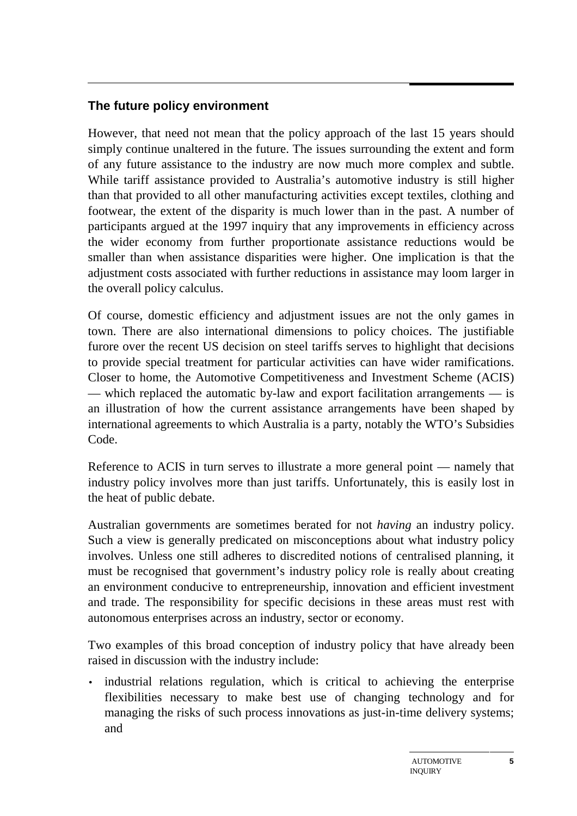# **The future policy environment**

However, that need not mean that the policy approach of the last 15 years should simply continue unaltered in the future. The issues surrounding the extent and form of any future assistance to the industry are now much more complex and subtle. While tariff assistance provided to Australia's automotive industry is still higher than that provided to all other manufacturing activities except textiles, clothing and footwear, the extent of the disparity is much lower than in the past. A number of participants argued at the 1997 inquiry that any improvements in efficiency across the wider economy from further proportionate assistance reductions would be smaller than when assistance disparities were higher. One implication is that the adjustment costs associated with further reductions in assistance may loom larger in the overall policy calculus.

Of course, domestic efficiency and adjustment issues are not the only games in town. There are also international dimensions to policy choices. The justifiable furore over the recent US decision on steel tariffs serves to highlight that decisions to provide special treatment for particular activities can have wider ramifications. Closer to home, the Automotive Competitiveness and Investment Scheme (ACIS) — which replaced the automatic by-law and export facilitation arrangements — is an illustration of how the current assistance arrangements have been shaped by international agreements to which Australia is a party, notably the WTO's Subsidies Code.

Reference to ACIS in turn serves to illustrate a more general point — namely that industry policy involves more than just tariffs. Unfortunately, this is easily lost in the heat of public debate.

Australian governments are sometimes berated for not *having* an industry policy. Such a view is generally predicated on misconceptions about what industry policy involves. Unless one still adheres to discredited notions of centralised planning, it must be recognised that government's industry policy role is really about creating an environment conducive to entrepreneurship, innovation and efficient investment and trade. The responsibility for specific decisions in these areas must rest with autonomous enterprises across an industry, sector or economy.

Two examples of this broad conception of industry policy that have already been raised in discussion with the industry include:

• industrial relations regulation, which is critical to achieving the enterprise flexibilities necessary to make best use of changing technology and for managing the risks of such process innovations as just-in-time delivery systems; and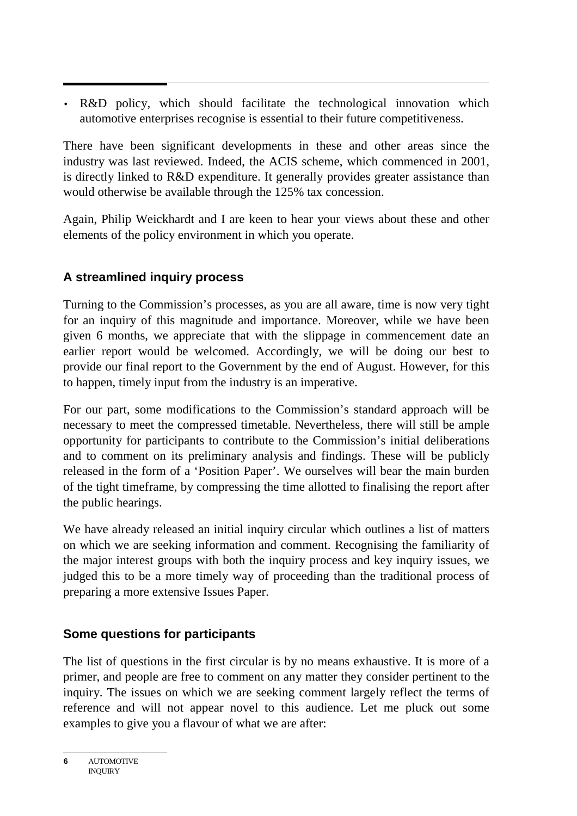• R&D policy, which should facilitate the technological innovation which automotive enterprises recognise is essential to their future competitiveness.

There have been significant developments in these and other areas since the industry was last reviewed. Indeed, the ACIS scheme, which commenced in 2001, is directly linked to R&D expenditure. It generally provides greater assistance than would otherwise be available through the 125% tax concession.

Again, Philip Weickhardt and I are keen to hear your views about these and other elements of the policy environment in which you operate.

## **A streamlined inquiry process**

Turning to the Commission's processes, as you are all aware, time is now very tight for an inquiry of this magnitude and importance. Moreover, while we have been given 6 months, we appreciate that with the slippage in commencement date an earlier report would be welcomed. Accordingly, we will be doing our best to provide our final report to the Government by the end of August. However, for this to happen, timely input from the industry is an imperative.

For our part, some modifications to the Commission's standard approach will be necessary to meet the compressed timetable. Nevertheless, there will still be ample opportunity for participants to contribute to the Commission's initial deliberations and to comment on its preliminary analysis and findings. These will be publicly released in the form of a 'Position Paper'. We ourselves will bear the main burden of the tight timeframe, by compressing the time allotted to finalising the report after the public hearings.

We have already released an initial inquiry circular which outlines a list of matters on which we are seeking information and comment. Recognising the familiarity of the major interest groups with both the inquiry process and key inquiry issues, we judged this to be a more timely way of proceeding than the traditional process of preparing a more extensive Issues Paper.

## **Some questions for participants**

The list of questions in the first circular is by no means exhaustive. It is more of a primer, and people are free to comment on any matter they consider pertinent to the inquiry. The issues on which we are seeking comment largely reflect the terms of reference and will not appear novel to this audience. Let me pluck out some examples to give you a flavour of what we are after:

**<sup>6</sup>** AUTOMOTIVE **INQUIRY**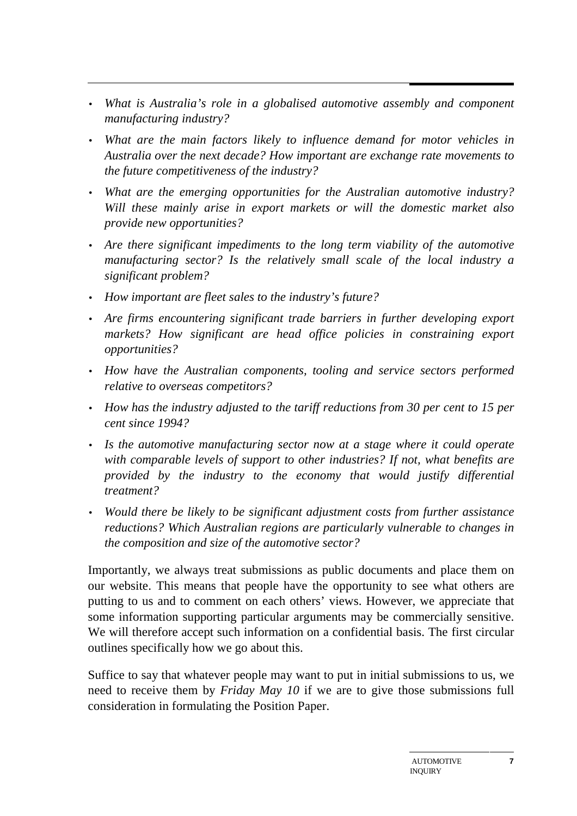- *What is Australia's role in a globalised automotive assembly and component manufacturing industry?*
- *What are the main factors likely to influence demand for motor vehicles in Australia over the next decade? How important are exchange rate movements to the future competitiveness of the industry?*
- *What are the emerging opportunities for the Australian automotive industry? Will these mainly arise in export markets or will the domestic market also provide new opportunities?*
- *Are there significant impediments to the long term viability of the automotive manufacturing sector? Is the relatively small scale of the local industry a significant problem?*
- *How important are fleet sales to the industry's future?*
- *Are firms encountering significant trade barriers in further developing export markets? How significant are head office policies in constraining export opportunities?*
- *How have the Australian components, tooling and service sectors performed relative to overseas competitors?*
- *How has the industry adjusted to the tariff reductions from 30 per cent to 15 per cent since 1994?*
- *Is the automotive manufacturing sector now at a stage where it could operate with comparable levels of support to other industries? If not, what benefits are provided by the industry to the economy that would justify differential treatment?*
- *Would there be likely to be significant adjustment costs from further assistance reductions? Which Australian regions are particularly vulnerable to changes in the composition and size of the automotive sector?*

Importantly, we always treat submissions as public documents and place them on our website. This means that people have the opportunity to see what others are putting to us and to comment on each others' views. However, we appreciate that some information supporting particular arguments may be commercially sensitive. We will therefore accept such information on a confidential basis. The first circular outlines specifically how we go about this.

Suffice to say that whatever people may want to put in initial submissions to us, we need to receive them by *Friday May 10* if we are to give those submissions full consideration in formulating the Position Paper.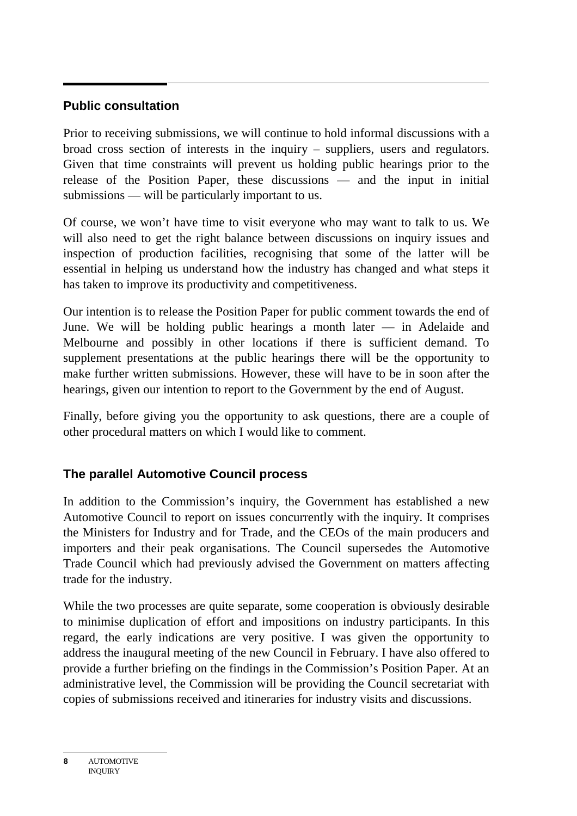#### **Public consultation**

Prior to receiving submissions, we will continue to hold informal discussions with a broad cross section of interests in the inquiry – suppliers, users and regulators. Given that time constraints will prevent us holding public hearings prior to the release of the Position Paper, these discussions — and the input in initial submissions — will be particularly important to us.

Of course, we won't have time to visit everyone who may want to talk to us. We will also need to get the right balance between discussions on inquiry issues and inspection of production facilities, recognising that some of the latter will be essential in helping us understand how the industry has changed and what steps it has taken to improve its productivity and competitiveness.

Our intention is to release the Position Paper for public comment towards the end of June. We will be holding public hearings a month later — in Adelaide and Melbourne and possibly in other locations if there is sufficient demand. To supplement presentations at the public hearings there will be the opportunity to make further written submissions. However, these will have to be in soon after the hearings, given our intention to report to the Government by the end of August.

Finally, before giving you the opportunity to ask questions, there are a couple of other procedural matters on which I would like to comment.

## **The parallel Automotive Council process**

In addition to the Commission's inquiry, the Government has established a new Automotive Council to report on issues concurrently with the inquiry. It comprises the Ministers for Industry and for Trade, and the CEOs of the main producers and importers and their peak organisations. The Council supersedes the Automotive Trade Council which had previously advised the Government on matters affecting trade for the industry.

While the two processes are quite separate, some cooperation is obviously desirable to minimise duplication of effort and impositions on industry participants. In this regard, the early indications are very positive. I was given the opportunity to address the inaugural meeting of the new Council in February. I have also offered to provide a further briefing on the findings in the Commission's Position Paper. At an administrative level, the Commission will be providing the Council secretariat with copies of submissions received and itineraries for industry visits and discussions.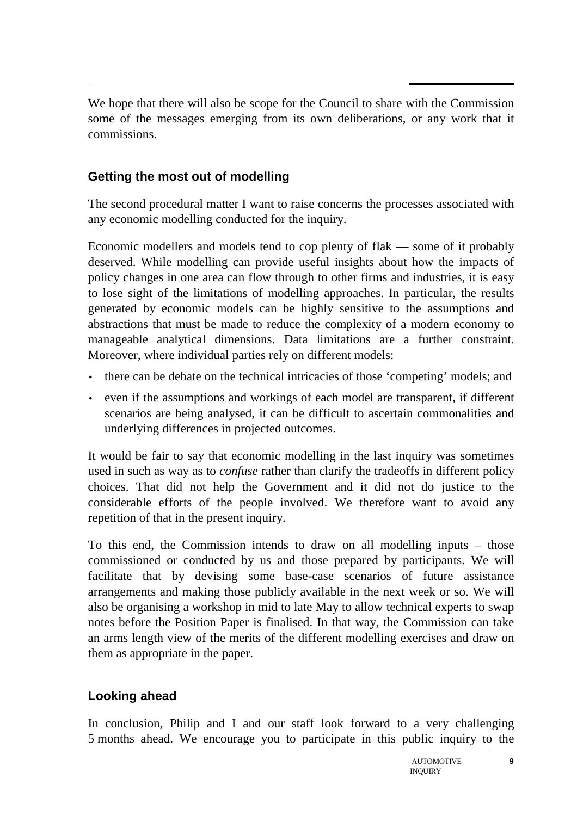We hope that there will also be scope for the Council to share with the Commission some of the messages emerging from its own deliberations, or any work that it commissions.

#### **Getting the most out of modelling**

The second procedural matter I want to raise concerns the processes associated with any economic modelling conducted for the inquiry.

Economic modellers and models tend to cop plenty of flak — some of it probably deserved. While modelling can provide useful insights about how the impacts of policy changes in one area can flow through to other firms and industries, it is easy to lose sight of the limitations of modelling approaches. In particular, the results generated by economic models can be highly sensitive to the assumptions and abstractions that must be made to reduce the complexity of a modern economy to manageable analytical dimensions. Data limitations are a further constraint. Moreover, where individual parties rely on different models:

- there can be debate on the technical intricacies of those 'competing' models; and
- even if the assumptions and workings of each model are transparent, if different scenarios are being analysed, it can be difficult to ascertain commonalities and underlying differences in projected outcomes.

It would be fair to say that economic modelling in the last inquiry was sometimes used in such as way as to *confuse* rather than clarify the tradeoffs in different policy choices. That did not help the Government and it did not do justice to the considerable efforts of the people involved. We therefore want to avoid any repetition of that in the present inquiry.

To this end, the Commission intends to draw on all modelling inputs – those commissioned or conducted by us and those prepared by participants. We will facilitate that by devising some base-case scenarios of future assistance arrangements and making those publicly available in the next week or so. We will also be organising a workshop in mid to late May to allow technical experts to swap notes before the Position Paper is finalised. In that way, the Commission can take an arms length view of the merits of the different modelling exercises and draw on them as appropriate in the paper.

#### **Looking ahead**

In conclusion, Philip and I and our staff look forward to a very challenging 5 months ahead. We encourage you to participate in this public inquiry to the